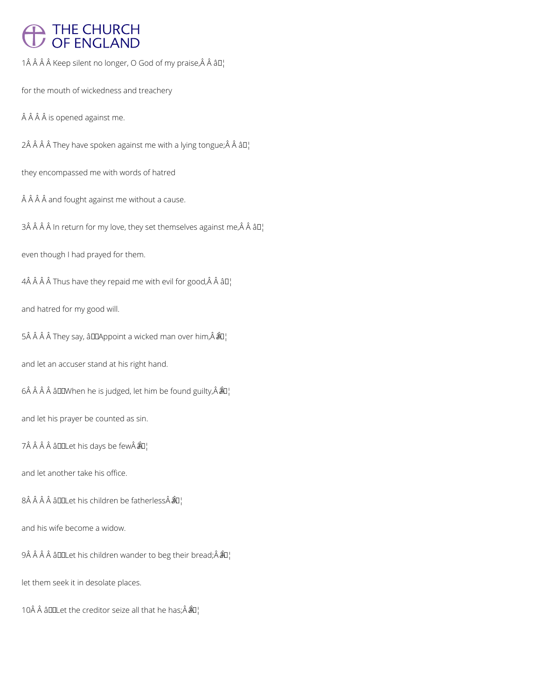## THE CHURCH<br>OF ENGLAND

1Â Â Â Â Keep silent no longer, O God of my praise, Â Â â D¦

for the mouth of wickedness and treachery

Â Â Â is opened against me.

 $2\hat{A}$   $\hat{A}$   $\hat{A}$   $\hat{A}$  They have spoken against me with a lying tongue; $\hat{A}$   $\hat{A}$   $\hat{a}$   $\Box$ 

they encompassed me with words of hatred

 $\hat{A}$   $\hat{A}$   $\hat{A}$  and fought against me without a cause.

3Â Â Â Â In return for my love, they set themselves against me, $\hat{A}$  Â â $II_1^{\dagger}$ 

even though I had prayed for them.

 $4\hat{A}$   $\hat{A}$   $\hat{A}$   $\hat{A}$  Thus have they repaid me with evil for good,  $\hat{A}$   $\hat{A}$   $\hat{a}$   $\Box$ 

and hatred for my good will.

5Â Â Â Â They say, âDDAppoint a wicked man over him, Â ÂD¦

and let an accuser stand at his right hand.

 $6\hat{A}$   $\hat{A}$   $\hat{A}$   $\hat{a}$   $\square$  when he is judged, let him be found guilty,  $\hat{A}$   $\hat{a}$  $\square$ 

and let his prayer be counted as sin.

7 â DOLet his days be few Â U

and let another take his office.

8 â DOLet his children be fatherless  $\hat{a}$ O¦

## and his wife become a widow.

9Â Â Â Â â DOLet his children wander to beg their bread;Â  $\partial^2 I$ 

let them seek it in desolate places.

10Â Â â D Let the creditor seize all that he has;  $\hat{A}$   $\hat{B}$ <sup>1</sup>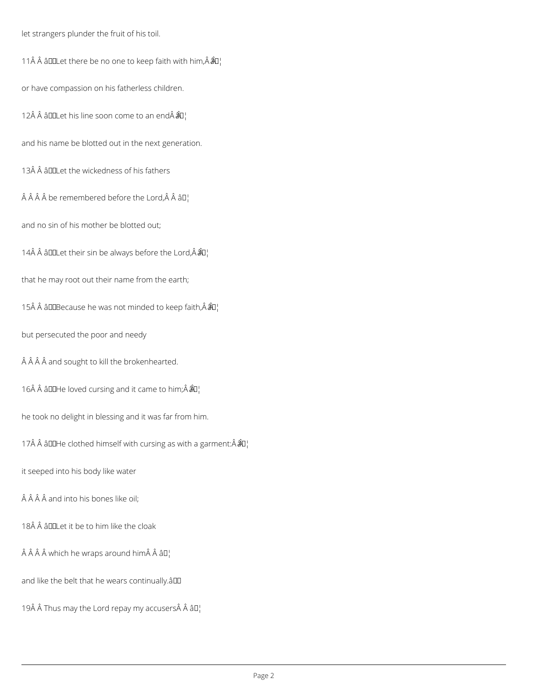let strangers plunder the fruit of his toil.

11 Â Â â DD Let there be no one to keep faith with him,  $\hat{A}$  $\hat{A}$ U<sub>i</sub>

or have compassion on his fatherless children.

12Â Â âDDLet his line soon come to an endÂ $\hat{a}$ Q¦

and his name be blotted out in the next generation.

13 $\hat{A}$   $\hat{A}$   $\hat{A}$   $\Pi$  at the wickedness of his fathers

 $\hat{A}$   $\hat{A}$   $\hat{A}$   $\hat{B}$  be remembered before the Lord,  $\hat{A}$   $\hat{A}$   $\hat{B}$  $\Gamma$ 

and no sin of his mother be blotted out;

14 $\hat{A}$   $\hat{A}$  allet their sin be always before the Lord,  $\hat{A}$  $\hat{A}$  $I$ <sub>i</sub>

that he may root out their name from the earth;

15 $\hat{A}$   $\hat{A}$   $\hat{a}$   $\square$  Because he was not minded to keep faith,  $\hat{A}$  $\hat{a}$  $\square$ 

but persecuted the poor and needy

Â Â Â and sought to kill the brokenhearted.

16Â Â âDDHe loved cursing and it came to him; Â  $\hat{a}$ U<sub>i</sub>

he took no delight in blessing and it was far from him.

17Â Â âDDHe clothed himself with cursing as with a garment: $\hat{A} \hat{a} \hat{a}$ ]

it seeped into his body like water

 $\hat{A}$   $\hat{A}$   $\hat{A}$  and into his bones like oil;

18Â Â â **D**ILet it be to him like the cloak

 $\hat{A}$   $\hat{A}$   $\hat{A}$  which he wraps around him  $\hat{A}$   $\hat{A}$   $\hat{a}$   $\Box$ 

and like the belt that he wears continually.âDD

19 $\hat{A}$   $\hat{A}$  Thus may the Lord repay my accusers $\hat{A}$   $\hat{A}$   $\hat{a}$   $\Box$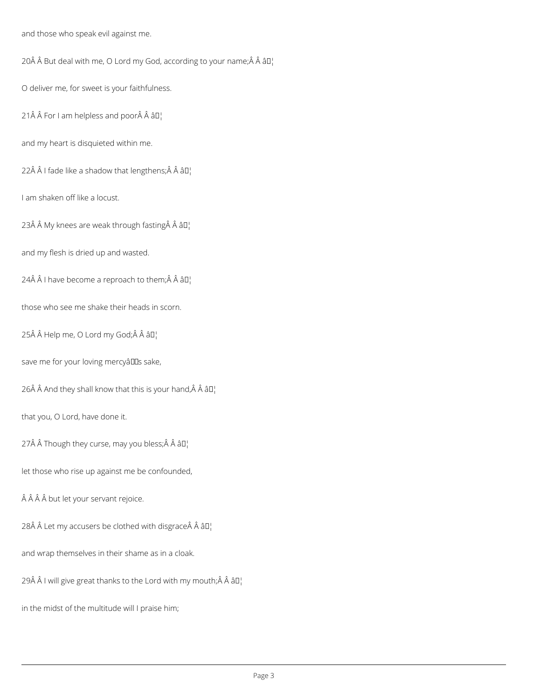and those who speak evil against me.

20 $\hat{A}$   $\hat{A}$  But deal with me, O Lord my God, according to your name; $\hat{A}$   $\hat{A}$   $\hat{a}$  $\Box$ 

O deliver me, for sweet is your faithfulness.

21 $\hat{A}$   $\hat{A}$  For I am helpless and poor $\hat{A}$   $\hat{A}$   $\hat{a}$   $\Pi$ <sup>1</sup>

and my heart is disquieted within me.

22 $\hat{A}$   $\hat{A}$  I fade like a shadow that lengthens; $\hat{A}$   $\hat{A}$   $\hat{a}$ D<sub>1</sub>'

I am shaken off like a locust.

23Å  $\hat{A}$  My knees are weak through fasting $\hat{A}$   $\hat{A}$   $\hat{a}$   $\Pi$ <sub>1</sub>

and my flesh is dried up and wasted.

24Â Â I have become a reproach to them; $\hat{A}$  Â â $II_1$ 

those who see me shake their heads in scorn.

25Â Â Help me, O Lord my God;Â Â â []

save me for your loving mercyâlls sake,

26 $\hat{A}$   $\hat{A}$  And they shall know that this is your hand,  $\hat{A}$   $\hat{A}$   $\hat{a}$   $\Box$ 

that you, O Lord, have done it.

27 $\hat{A}$   $\hat{A}$  Though they curse, may you bless; $\hat{A}$   $\hat{A}$   $\hat{a}$  $\Box$ 

let those who rise up against me be confounded,

Â Â Â but let your servant rejoice.

28 $\hat{A}$   $\hat{A}$  Let my accusers be clothed with disgrace $\hat{A}$   $\hat{A}$   $\hat{a}$   $\Box$ 

and wrap themselves in their shame as in a cloak.

29Å  $\hat{A}$  I will give great thanks to the Lord with my mouth;  $\hat{A}$   $\hat{A}$   $\hat{a}$   $\Box$ 

in the midst of the multitude will I praise him;